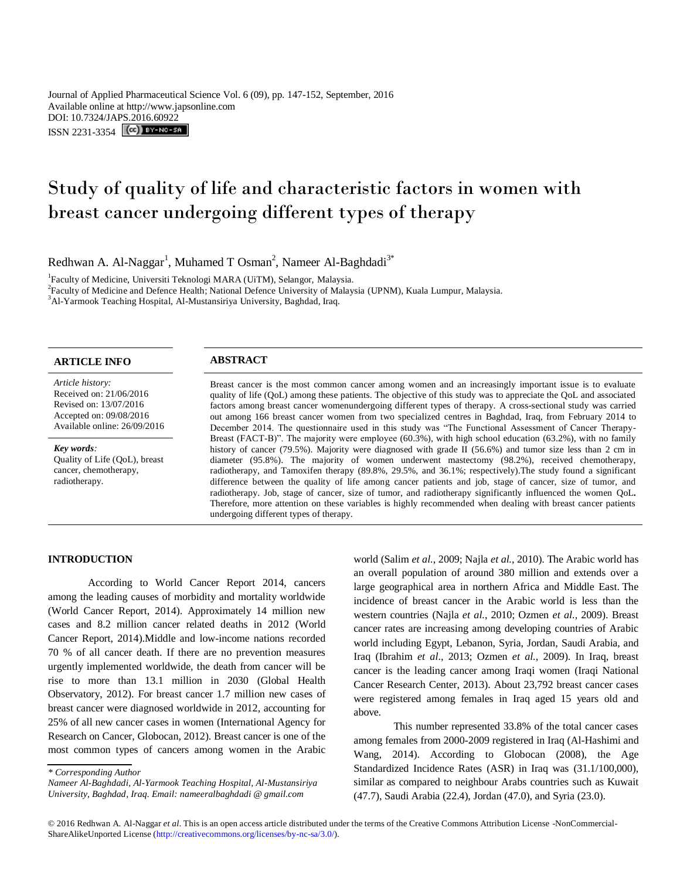Journal of Applied Pharmaceutical Science Vol. 6 (09), pp. 147-152, September, 2016 Available online at http://www.japsonline.com DOI: 10.7324/JAPS.2016.60922 ISSN 2231-3354 **(cc)** BY-NO-SA

# Study of quality of life and characteristic factors in women with breast cancer undergoing different types of therapy

Redhwan A. Al-Naggar<sup>1</sup>, Muhamed T Osman<sup>2</sup>, Nameer Al-Baghdadi<sup>3\*</sup>

<sup>1</sup>Faculty of Medicine, Universiti Teknologi MARA (UiTM), Selangor, Malaysia.

2 Faculty of Medicine and Defence Health; National Defence University of Malaysia (UPNM), Kuala Lumpur, Malaysia. <sup>3</sup>Al-Yarmook Teaching Hospital, Al-Mustansiriya University, Baghdad, Iraq.

# **ARTICLE INFO ABSTRACT**

*Article history:* Received on: 21/06/2016 Revised on: 13/07/2016 Accepted on: 09/08/2016 Available online: 26/09/2016

#### *Key words:*

Quality of Life (QoL), breast cancer, chemotherapy, radiotherapy.

Breast cancer is the most common cancer among women and an increasingly important issue is to evaluate quality of life (QoL) among these patients. The objective of this study was to appreciate the QoL and associated factors among breast cancer womenundergoing different types of therapy. A cross-sectional study was carried out among 166 breast cancer women from two specialized centres in Baghdad, Iraq, from February 2014 to December 2014. The questionnaire used in this study was "The Functional Assessment of Cancer Therapy-Breast (FACT-B)". The majority were employee (60.3%), with high school education (63.2%), with no family history of cancer (79.5%). Majority were diagnosed with grade II (56.6%) and tumor size less than 2 cm in diameter (95.8%). The majority of women underwent mastectomy (98.2%), received chemotherapy, radiotherapy, and Tamoxifen therapy (89.8%, 29.5%, and 36.1%; respectively).The study found a significant difference between the quality of life among cancer patients and job, stage of cancer, size of tumor, and radiotherapy. Job, stage of cancer, size of tumor, and radiotherapy significantly influenced the women QoL**.**  Therefore, more attention on these variables is highly recommended when dealing with breast cancer patients undergoing different types of therapy.

### **INTRODUCTION**

According to World Cancer Report 2014, cancers among the leading causes of morbidity and mortality worldwide (World Cancer Report, 2014). Approximately 14 million new cases and 8.2 million cancer related deaths in 2012 (World Cancer Report, 2014).Middle and low-income nations recorded 70 % of all cancer death. If there are no prevention measures urgently implemented worldwide, the death from cancer will be rise to more than 13.1 million in 2030 (Global Health Observatory, 2012). For breast cancer 1.7 million new cases of breast cancer were diagnosed worldwide in 2012, accounting for 25% of all new cancer cases in women (International Agency for Research on Cancer, Globocan, 2012). Breast cancer is one of the most common types of cancers among women in the Arabic world (Salim *et al.*, 2009; Najla *et al.*, 2010). The Arabic world has an overall population of around 380 million and extends over a large geographical area in northern Africa and Middle East. The incidence of breast cancer in the Arabic world is less than the western countries (Najla *et al.*, 2010; Ozmen *et al.*, 2009). Breast cancer rates are increasing among developing countries of Arabic world including Egypt, Lebanon, Syria, Jordan, Saudi Arabia, and Iraq (Ibrahim *et al*., 2013; Ozmen *et al.*, 2009). In Iraq, breast cancer is the leading cancer among Iraqi women (Iraqi National Cancer Research Center, 2013). About 23,792 breast cancer cases were registered among females in Iraq aged 15 years old and above.

This number represented 33.8% of the total cancer cases among females from 2000-2009 registered in Iraq (Al-Hashimi and Wang, 2014). According to Globocan (2008), the Age Standardized Incidence Rates (ASR) in Iraq was (31.1/100,000), similar as compared to neighbour Arabs countries such as Kuwait (47.7), Saudi Arabia (22.4), Jordan (47.0), and Syria (23.0).

*<sup>\*</sup> Corresponding Author*

*Nameer Al-Baghdadi, Al-Yarmook Teaching Hospital, Al-Mustansiriya University, Baghdad, Iraq. Email: nameeralbaghdadi @ gmail.com*

<sup>© 2016</sup> Redhwan A. Al-Naggar *et al*. This is an open access article distributed under the terms of the Creative Commons Attribution License -NonCommercial-ShareAlikeUnported License (http://creativecommons.org/licenses/by-nc-sa/3.0/).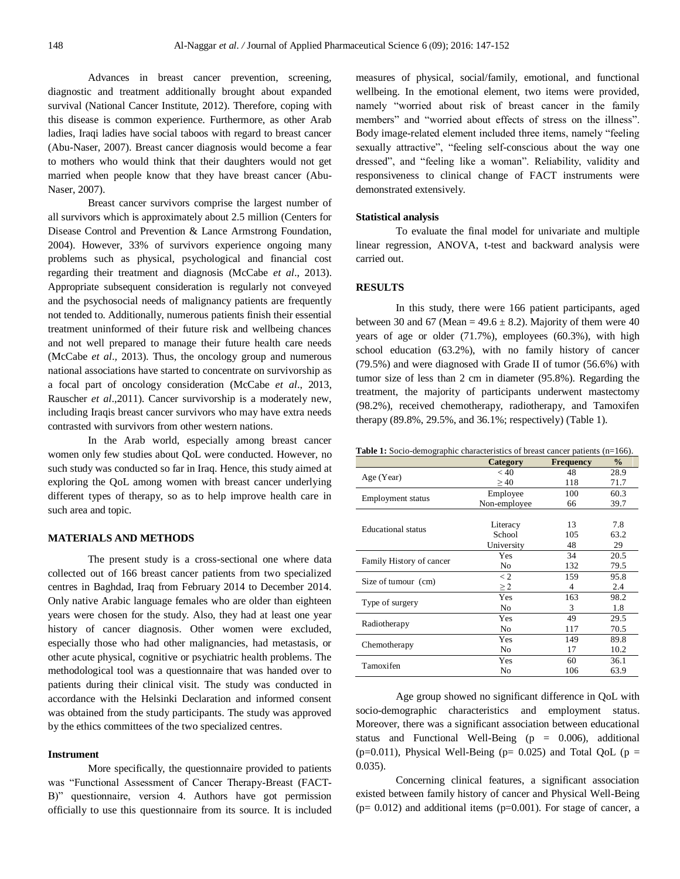Advances in breast cancer prevention, screening, diagnostic and treatment additionally brought about expanded survival (National Cancer Institute, 2012). Therefore, coping with this disease is common experience. Furthermore, as other Arab ladies, Iraqi ladies have social taboos with regard to breast cancer (Abu-Naser, 2007). Breast cancer diagnosis would become a fear to mothers who would think that their daughters would not get married when people know that they have breast cancer (Abu-Naser, 2007).

Breast cancer survivors comprise the largest number of all survivors which is approximately about 2.5 million (Centers for Disease Control and Prevention & Lance Armstrong Foundation, 2004). However, 33% of survivors experience ongoing many problems such as physical, psychological and financial cost regarding their treatment and diagnosis (McCabe *et al*., 2013). Appropriate subsequent consideration is regularly not conveyed and the psychosocial needs of malignancy patients are frequently not tended to. Additionally, numerous patients finish their essential treatment uninformed of their future risk and wellbeing chances and not well prepared to manage their future health care needs (McCabe *et al*.*,* 2013). Thus, the oncology group and numerous national associations have started to concentrate on survivorship as a focal part of oncology consideration (McCabe *et al*., 2013, Rauscher *et al*.,2011). Cancer survivorship is a moderately new, including Iraqis breast cancer survivors who may have extra needs contrasted with survivors from other western nations.

In the Arab world, especially among breast cancer women only few studies about QoL were conducted. However, no such study was conducted so far in Iraq. Hence, this study aimed at exploring the QoL among women with breast cancer underlying different types of therapy, so as to help improve health care in such area and topic.

# **MATERIALS AND METHODS**

The present study is a cross-sectional one where data collected out of 166 breast cancer patients from two specialized centres in Baghdad, Iraq from February 2014 to December 2014. Only native Arabic language females who are older than eighteen years were chosen for the study. Also, they had at least one year history of cancer diagnosis. Other women were excluded, especially those who had other malignancies, had metastasis, or other acute physical, cognitive or psychiatric health problems. The methodological tool was a questionnaire that was handed over to patients during their clinical visit. The study was conducted in accordance with the Helsinki Declaration and informed consent was obtained from the study participants. The study was approved by the ethics committees of the two specialized centres.

#### **Instrument**

More specifically, the questionnaire provided to patients was "Functional Assessment of Cancer Therapy-Breast (FACT-B)" questionnaire, version 4. Authors have got permission officially to use this questionnaire from its source. It is included measures of physical, social/family, emotional, and functional wellbeing. In the emotional element, two items were provided, namely "worried about risk of breast cancer in the family members" and "worried about effects of stress on the illness". Body image-related element included three items, namely "feeling sexually attractive", "feeling self-conscious about the way one dressed", and "feeling like a woman". Reliability, validity and responsiveness to clinical change of FACT instruments were demonstrated extensively.

# **Statistical analysis**

To evaluate the final model for univariate and multiple linear regression, ANOVA, t-test and backward analysis were carried out.

# **RESULTS**

In this study, there were 166 patient participants, aged between 30 and 67 (Mean =  $49.6 \pm 8.2$ ). Majority of them were 40 years of age or older (71.7%), employees (60.3%), with high school education (63.2%), with no family history of cancer (79.5%) and were diagnosed with Grade II of tumor (56.6%) with tumor size of less than 2 cm in diameter (95.8%). Regarding the treatment, the majority of participants underwent mastectomy (98.2%), received chemotherapy, radiotherapy, and Tamoxifen therapy (89.8%, 29.5%, and 36.1%; respectively) (Table 1).

Table 1: Socio-demographic characteristics of breast cancer patients (n=166).

|                           | <b>Category</b> | <b>Frequency</b> | $\frac{0}{0}$ |
|---------------------------|-----------------|------------------|---------------|
|                           | < 40            | 48               | 28.9          |
| Age (Year)                | $\geq 40$       | 118              | 71.7          |
|                           | Employee        | 100              | 60.3          |
| <b>Employment</b> status  | Non-employee    | 66               | 39.7          |
|                           |                 |                  |               |
| <b>Educational</b> status | Literacy        | 13               | 7.8           |
|                           | School          | 105              | 63.2          |
|                           | University      | 48               | 29            |
|                           | Yes             | 34               | 20.5          |
| Family History of cancer  | No              | 132              | 79.5          |
|                           | $\lt 2$         | 159              | 95.8          |
| Size of tumour (cm)       | $\geq$ 2        | 4                | 2.4           |
|                           | Yes             | 163              | 98.2          |
| Type of surgery           | No              | 3                | 1.8           |
|                           | Yes             | 49               | 29.5          |
| Radiotherapy              | No              | 117              | 70.5          |
|                           | Yes             | 149              | 89.8          |
| Chemotherapy              | No              | 17               | 10.2          |
|                           | Yes             | 60               | 36.1          |
| Tamoxifen                 | No              | 106              | 63.9          |

Age group showed no significant difference in QoL with socio-demographic characteristics and employment status. Moreover, there was a significant association between educational status and Functional Well-Being  $(p = 0.006)$ , additional (p=0.011), Physical Well-Being (p= 0.025) and Total QoL (p = 0.035).

Concerning clinical features, a significant association existed between family history of cancer and Physical Well-Being  $(p= 0.012)$  and additional items  $(p=0.001)$ . For stage of cancer, a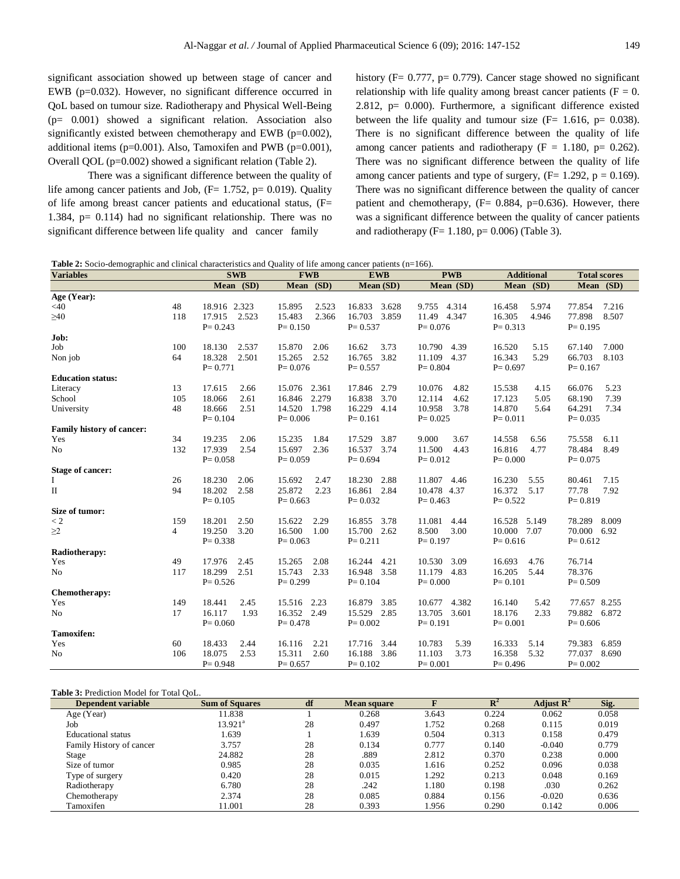significant association showed up between stage of cancer and EWB (p=0.032). However, no significant difference occurred in QoL based on tumour size. Radiotherapy and Physical Well-Being (p= 0.001) showed a significant relation. Association also significantly existed between chemotherapy and EWB (p=0.002), additional items ( $p=0.001$ ). Also, Tamoxifen and PWB ( $p=0.001$ ), Overall QOL (p=0.002) showed a significant relation (Table 2).

There was a significant difference between the quality of life among cancer patients and Job,  $(F= 1.752, p= 0.019)$ . Quality of life among breast cancer patients and educational status, (F= 1.384, p= 0.114) had no significant relationship. There was no significant difference between life quality and cancer family

history (F= 0.777, p= 0.779). Cancer stage showed no significant relationship with life quality among breast cancer patients ( $F = 0$ . 2.812,  $p= 0.000$ . Furthermore, a significant difference existed between the life quality and tumour size  $(F= 1.616, p= 0.038)$ . There is no significant difference between the quality of life among cancer patients and radiotherapy ( $F = 1.180$ ,  $p = 0.262$ ). There was no significant difference between the quality of life among cancer patients and type of surgery,  $(F= 1.292, p = 0.169)$ . There was no significant difference between the quality of cancer patient and chemotherapy,  $(F= 0.884, p=0.636)$ . However, there was a significant difference between the quality of cancer patients and radiotherapy ( $F= 1.180$ ,  $p= 0.006$ ) (Table 3).

| <b>Table 2:</b> Socio-demographic and clinical characteristics and Quality of life among cancer patients $(n=166)$ . |  |  |
|----------------------------------------------------------------------------------------------------------------------|--|--|
|                                                                                                                      |  |  |

| <b>Variables</b>                 |                | <b>SWB</b>      | <b>FWB</b>      | <b>EWB</b>      | <b>PWB</b>      | <b>Additional</b> | <b>Total scores</b> |
|----------------------------------|----------------|-----------------|-----------------|-----------------|-----------------|-------------------|---------------------|
|                                  |                | Mean (SD)       | (SD)<br>Mean    | Mean (SD)       | Mean (SD)       | Mean (SD)         | Mean (SD)           |
| Age (Year):                      |                |                 |                 |                 |                 |                   |                     |
| $<$ 40                           | 48             | 18.916 2.323    | 15.895<br>2.523 | 16.833<br>3.628 | 9.755<br>4.314  | 16.458<br>5.974   | 77.854<br>7.216     |
| $\geq 40$                        | 118            | 17.915<br>2.523 | 2.366<br>15.483 | 16.703<br>3.859 | 11.49<br>4.347  | 16.305<br>4.946   | 8.507<br>77.898     |
|                                  |                | $P = 0.243$     | $P = 0.150$     | $P = 0.537$     | $P = 0.076$     | $P = 0.313$       | $P = 0.195$         |
| Job:                             |                |                 |                 |                 |                 |                   |                     |
| Job                              | 100            | 18.130<br>2.537 | 15.870<br>2.06  | 3.73<br>16.62   | 10.790<br>4.39  | 16.520<br>5.15    | 7.000<br>67.140     |
| Non job                          | 64             | 2.501<br>18.328 | 2.52<br>15.265  | 3.82<br>16.765  | 11.109 4.37     | 16.343<br>5.29    | 66.703<br>8.103     |
|                                  |                | $P = 0.771$     | $P = 0.076$     | $P = 0.557$     | $P = 0.804$     | $P = 0.697$       | $P = 0.167$         |
| <b>Education status:</b>         |                |                 |                 |                 |                 |                   |                     |
| Literacy                         | 13             | 17.615<br>2.66  | 15.076 2.361    | 17.846<br>2.79  | 10.076<br>4.82  | 15.538<br>4.15    | 66.076<br>5.23      |
| School                           | 105            | 18.066<br>2.61  | 2.279<br>16.846 | 16.838<br>3.70  | 4.62<br>12.114  | 17.123<br>5.05    | 7.39<br>68.190      |
| University                       | 48             | 18.666<br>2.51  | 14.520 1.798    | 16.229<br>4.14  | 10.958<br>3.78  | 14.870<br>5.64    | 64.291<br>7.34      |
|                                  |                | $P = 0.104$     | $P = 0.006$     | $P = 0.161$     | $P = 0.025$     | $P = 0.011$       | $P = 0.035$         |
| <b>Family history of cancer:</b> |                |                 |                 |                 |                 |                   |                     |
| Yes                              | 34             | 19.235<br>2.06  | 15.235<br>1.84  | 17.529<br>3.87  | 9.000<br>3.67   | 14.558<br>6.56    | 75.558<br>6.11      |
| N <sub>o</sub>                   | 132            | 17.939<br>2.54  | 2.36<br>15.697  | 16.537 3.74     | 11.500<br>4.43  | 16.816<br>4.77    | 78.484<br>8.49      |
|                                  |                | $P = 0.058$     | $P = 0.059$     | $P = 0.694$     | $P = 0.012$     | $P = 0.000$       | $P = 0.075$         |
| <b>Stage of cancer:</b>          |                |                 |                 |                 |                 |                   |                     |
| Ι                                | 26             | 18.230<br>2.06  | 15.692<br>2.47  | 18.230<br>2.88  | 11.807 4.46     | 16.230<br>5.55    | 7.15<br>80.461      |
| П                                | 94             | 18.202<br>2.58  | 25.872<br>2.23  | 16.861 2.84     | 10.478 4.37     | 16.372<br>5.17    | 77.78<br>7.92       |
|                                  |                | $P = 0.105$     | $P = 0.663$     | $P = 0.032$     | $P = 0.463$     | $P = 0.522$       | $P = 0.819$         |
| Size of tumor:                   |                |                 |                 |                 |                 |                   |                     |
| $\lt 2$                          | 159            | 18.201<br>2.50  | 15.622<br>2.29  | 16.855<br>3.78  | 11.081<br>4.44  | 16.528 5.149      | 78.289<br>8.009     |
| $\geq$ 2                         | $\overline{4}$ | 19.250<br>3.20  | 16.500<br>1.00  | 15.700 2.62     | 3.00<br>8.500   | 10.000 7.07       | 70.000 6.92         |
|                                  |                | $P = 0.338$     | $P = 0.063$     | $P = 0.211$     | $P = 0.197$     | $P = 0.616$       | $P = 0.612$         |
| Radiotherapy:                    |                |                 |                 |                 |                 |                   |                     |
| Yes                              | 49             | 17.976<br>2.45  | 15.265<br>2.08  | 16.244<br>4.21  | 10.530<br>3.09  | 16.693<br>4.76    | 76.714              |
| No                               | 117            | 2.51<br>18.299  | 15.743<br>2.33  | 16.948<br>3.58  | 11.179 4.83     | 16.205<br>5.44    | 78.376              |
|                                  |                | $P = 0.526$     | $P = 0.299$     | $P = 0.104$     | $P = 0.000$     | $P = 0.101$       | $P = 0.509$         |
| Chemotherapy:                    |                |                 |                 |                 |                 |                   |                     |
| Yes                              | 149            | 2.45<br>18.441  | 15.516<br>2.23  | 16.879<br>3.85  | 10.677<br>4.382 | 5.42<br>16.140    | 77.657 8.255        |
| No                               | 17             | 16.117<br>1.93  | 16.352 2.49     | 15.529 2.85     | 3.601<br>13.705 | 18.176<br>2.33    | 79.882 6.872        |
|                                  |                | $P = 0.060$     | $P = 0.478$     | $P = 0.002$     | $P = 0.191$     | $P = 0.001$       | $P = 0.606$         |
| <b>Tamoxifen:</b>                |                |                 |                 |                 |                 |                   |                     |
| Yes                              | 60             | 18.433<br>2.44  | 16.116<br>2.21  | 3.44<br>17.716  | 10.783<br>5.39  | 16.333<br>5.14    | 6.859<br>79.383     |
| No                               | 106            | 18.075<br>2.53  | 15.311<br>2.60  | 16.188 3.86     | 3.73<br>11.103  | 16.358<br>5.32    | 77.037<br>8.690     |
|                                  |                | $P = 0.948$     | $P = 0.657$     | $P = 0.102$     | $P = 0.001$     | $P = 0.496$       | $P = 0.002$         |

#### **Table 3:** Prediction Model for Total QoL.

| <b>Dependent variable</b> | <b>Sum of Squares</b> | df | <b>Mean square</b> | F     | ${\bf R}^2$ | Adjust $\mathbf{R}^2$ | Sig.  |
|---------------------------|-----------------------|----|--------------------|-------|-------------|-----------------------|-------|
| Age (Year)                | 11.838                |    | 0.268              | 3.643 | 0.224       | 0.062                 | 0.058 |
| Job                       | 13.921ª               | 28 | 0.497              | 1.752 | 0.268       | 0.115                 | 0.019 |
| Educational status        | .639                  |    | 1.639              | 0.504 | 0.313       | 0.158                 | 0.479 |
| Family History of cancer  | 3.757                 | 28 | 0.134              | 0.777 | 0.140       | $-0.040$              | 0.779 |
| Stage                     | 24.882                | 28 | .889               | 2.812 | 0.370       | 0.238                 | 0.000 |
| Size of tumor             | 0.985                 | 28 | 0.035              | 1.616 | 0.252       | 0.096                 | 0.038 |
| Type of surgery           | 0.420                 | 28 | 0.015              | 1.292 | 0.213       | 0.048                 | 0.169 |
| Radiotherapy              | 6.780                 | 28 | .242               | 1.180 | 0.198       | .030                  | 0.262 |
| Chemotherapy              | 2.374                 | 28 | 0.085              | 0.884 | 0.156       | $-0.020$              | 0.636 |
| Tamoxifen                 | 11.001                | 28 | 0.393              | l.956 | 0.290       | 0.142                 | 0.006 |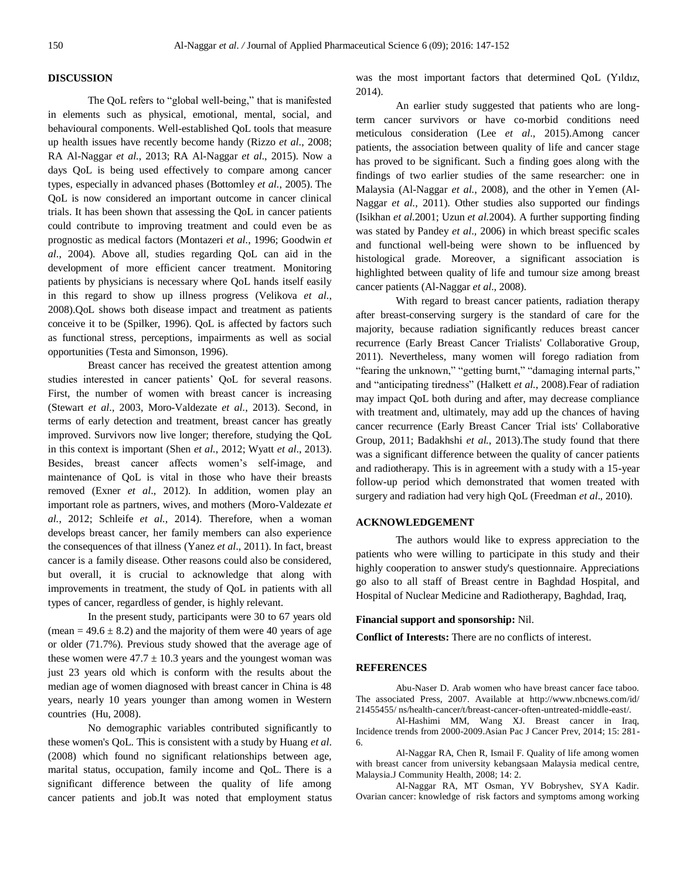# **DISCUSSION**

The QoL refers to "global well-being," that is manifested in elements such as physical, emotional, mental, social, and behavioural components. Well-established QoL tools that measure up health issues have recently become handy (Rizzo *et al*., 2008; RA Al-Naggar *et al.*, 2013; RA Al-Naggar *et al.*, 2015). Now a days QoL is being used effectively to compare among cancer types, especially in advanced phases (Bottomley *et al.*, 2005). The QoL is now considered an important outcome in cancer clinical trials. It has been shown that assessing the QoL in cancer patients could contribute to improving treatment and could even be as prognostic as medical factors (Montazeri *et al.*, 1996; Goodwin *et al*., 2004). Above all, studies regarding QoL can aid in the development of more efficient cancer treatment. Monitoring patients by physicians is necessary where QoL hands itself easily in this regard to show up illness progress (Velikova *et al.*, 2008).QoL shows both disease impact and treatment as patients conceive it to be (Spilker, 1996). QoL is affected by factors such as functional stress, perceptions, impairments as well as social opportunities (Testa and Simonson, 1996).

Breast cancer has received the greatest attention among studies interested in cancer patients' QoL for several reasons. First, the number of women with breast cancer is increasing (Stewart *et al*., 2003, Moro-Valdezate *et al.*, 2013). Second, in terms of early detection and treatment, breast cancer has greatly improved. Survivors now live longer; therefore, studying the QoL in this context is important (Shen *et al.*, 2012; Wyatt *et al*., 2013). Besides, breast cancer affects women's self-image, and maintenance of QoL is vital in those who have their breasts removed (Exner *et al*., 2012). In addition, women play an important role as partners, wives, and mothers (Moro-Valdezate *et al.*, 2012; Schleife *et al.*, 2014). Therefore, when a woman develops breast cancer, her family members can also experience the consequences of that illness (Yanez *et al*.*,* 2011). In fact, breast cancer is a family disease. Other reasons could also be considered, but overall, it is crucial to acknowledge that along with improvements in treatment, the study of QoL in patients with all types of cancer, regardless of gender, is highly relevant.

In the present study, participants were 30 to 67 years old (mean =  $49.6 \pm 8.2$ ) and the majority of them were 40 years of age or older (71.7%). Previous study showed that the average age of these women were  $47.7 \pm 10.3$  years and the youngest woman was just 23 years old which is conform with the results about the median age of women diagnosed with breast cancer in China is 48 years, nearly 10 years younger than among women in Western countries [\(Hu, 2008\).](http://www.sciencedirect.com/science/article/pii/S2352013214000234#bib4)

No demographic variables contributed significantly to these women's QoL. This is consistent with a study by Huang *et al*. (2008) which found no significant relationships between age, marital status, occupation, family income and QoL. There is a significant difference between the quality of life among cancer patients and job.It was noted that employment status was the most important factors that determined QoL (Yıldız, 2014).

An earlier study suggested that patients who are longterm cancer survivors or have co-morbid conditions need meticulous consideration (Lee *et al*., 2015).Among cancer patients, the association between quality of life and cancer stage has proved to be significant. Such a finding goes along with the findings of two earlier studies of the same researcher: one in Malaysia (Al-Naggar *et al.*, 2008), and the other in Yemen (Al-Naggar *et al.*, 2011). Other studies also supported our findings (Isikhan *et al.*2001; Uzun *et al.*2004). A further supporting finding was stated by Pandey *et al*.*,* 2006) in which breast specific scales and functional well-being were shown to be influenced by histological grade. Moreover, a significant association is highlighted between quality of life and tumour size among breast cancer patients (Al-Naggar *et al.*, 2008).

With regard to breast cancer patients, radiation therapy after breast-conserving surgery is the standard of care for the majority, because radiation significantly reduces breast cancer recurrence (Early Breast Cancer Trialists' Collaborative Group, 2011). Nevertheless, many women will forego radiation from "fearing the unknown," "getting burnt," "damaging internal parts," and "anticipating tiredness" (Halkett *et al.*, 2008).Fear of radiation may impact QoL both during and after, may decrease compliance with treatment and, ultimately, may add up the chances of having cancer recurrence (Early Breast Cancer Trial ists' Collaborative Group, 2011; Badakhshi *et al.*, 2013).The study found that there was a significant difference between the quality of cancer patients and radiotherapy. This is in agreement with a study with a 15-year follow-up period which demonstrated that women treated with surgery and radiation had very high QoL (Freedman *et al*., 2010).

# **ACKNOWLEDGEMENT**

The authors would like to express appreciation to the patients who were willing to participate in this study and their highly cooperation to answer study's questionnaire. Appreciations go also to all staff of Breast centre in Baghdad Hospital, and Hospital of Nuclear Medicine and Radiotherapy, Baghdad, Iraq,

# **Financial support and sponsorship:** Nil.

**Conflict of Interests:** There are no conflicts of interest.

### **REFERENCES**

Abu-Naser D. Arab women who have breast cancer face taboo. The associated Press, 2007. Available at http://www.nbcnews.com/id/ 21455455/ ns/health-cancer/t/breast-cancer-often-untreated-middle-east/.

Al-Hashimi MM, Wang XJ. Breast cancer in Iraq, Incidence trends from 2000-2009.Asian Pac J Cancer Prev, 2014; 15: 281- 6.

Al-Naggar RA, Chen R, Ismail F. Quality of life among women with breast cancer from university kebangsaan Malaysia medical centre, Malaysia.J Community Health, 2008; 14: 2.

Al-Naggar RA, MT Osman, YV Bobryshev, SYA Kadir. Ovarian cancer: knowledge of risk factors and symptoms among working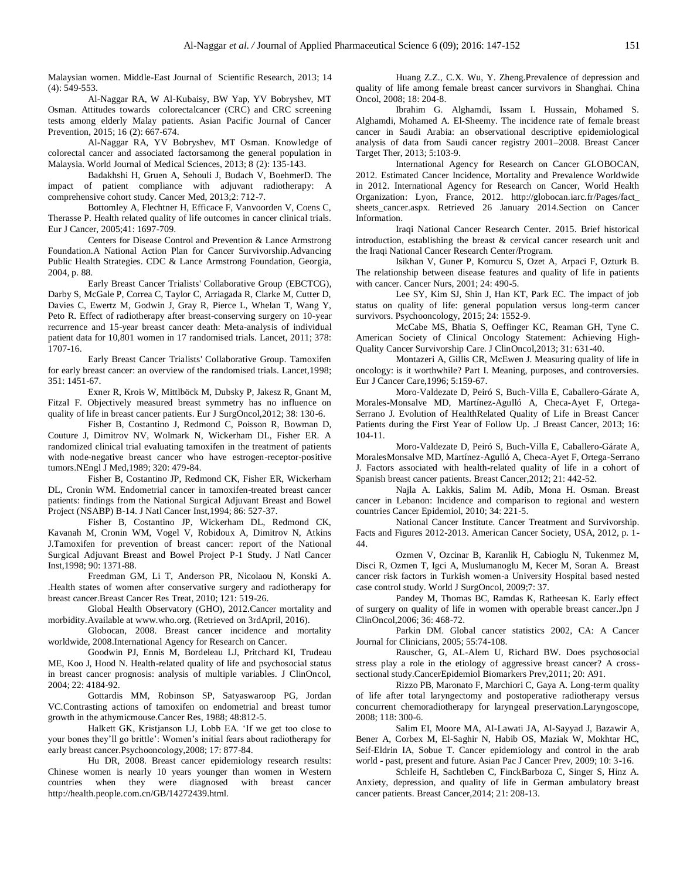Malaysian women. Middle-East Journal of Scientific Research, 2013; 14 (4): 549-553.

Al-Naggar RA, W Al-Kubaisy, BW Yap, YV Bobryshev, MT Osman. Attitudes towards colorectalcancer (CRC) and CRC screening tests among elderly Malay patients. Asian Pacific Journal of Cancer Prevention, 2015; 16 (2): 667-674.

Al-Naggar RA, YV Bobryshev, MT Osman. Knowledge of colorectal cancer and associated factorsamong the general population in Malaysia. World Journal of Medical Sciences, 2013; 8 (2): 135-143.

Badakhshi H, Gruen A, Sehouli J, Budach V, BoehmerD. The impact of patient compliance with adjuvant radiotherapy: A comprehensive cohort study. Cancer Med, 2013;2: 712-7.

Bottomley A, Flechtner H, Efficace F, Vanvoorden V, Coens C, Therasse P. Health related quality of life outcomes in cancer clinical trials. Eur J Cancer, 2005;41: 1697-709.

Centers for Disease Control and Prevention & Lance Armstrong Foundation.A National Action Plan for Cancer Survivorship.Advancing Public Health Strategies. CDC & Lance Armstrong Foundation, Georgia, 2004, p. 88.

Early Breast Cancer Trialists' Collaborative Group (EBCTCG), Darby S, McGale P, Correa C, Taylor C, Arriagada R, Clarke M, Cutter D, Davies C, Ewertz M, Godwin J, Gray R, Pierce L, Whelan T, Wang Y, Peto R. Effect of radiotherapy after breast-conserving surgery on 10-year recurrence and 15-year breast cancer death: Meta-analysis of individual patient data for 10,801 women in 17 randomised trials. Lancet, 2011; 378: 1707-16.

Early Breast Cancer Trialists' Collaborative Group. Tamoxifen for early breast cancer: an overview of the randomised trials. Lancet,1998; 351: 1451-67.

Exner R, Krois W, Mittlböck M, Dubsky P, Jakesz R, Gnant M, Fitzal F. Objectively measured breast symmetry has no influence on quality of life in breast cancer patients. Eur J SurgOncol,2012; 38: 130-6.

Fisher B, Costantino J, Redmond C, Poisson R, Bowman D, Couture J, Dimitrov NV, Wolmark N, Wickerham DL, Fisher ER. A randomized clinical trial evaluating tamoxifen in the treatment of patients with node-negative breast cancer who have estrogen-receptor-positive tumors.NEngl J Med,1989; 320: 479-84.

Fisher B, Costantino JP, Redmond CK, Fisher ER, Wickerham DL, Cronin WM. Endometrial cancer in tamoxifen-treated breast cancer patients: findings from the National Surgical Adjuvant Breast and Bowel Project (NSABP) B-14. J Natl Cancer Inst,1994; 86: 527-37.

Fisher B, Costantino JP, Wickerham DL, Redmond CK, Kavanah M, Cronin WM, Vogel V, Robidoux A, Dimitrov N, Atkins J.Tamoxifen for prevention of breast cancer: report of the National Surgical Adjuvant Breast and Bowel Project P-1 Study. J Natl Cancer Inst,1998; 90: 1371-88.

Freedman GM, Li T, Anderson PR, Nicolaou N, Konski A. .Health states of women after conservative surgery and radiotherapy for breast cancer.Breast Cancer Res Treat, 2010; 121: 519-26.

Global Health Observatory (GHO), 2012.Cancer mortality and morbidity.Available at www.who.org. (Retrieved on 3rdApril, 2016).

Globocan, 2008. Breast cancer incidence and mortality worldwide, 2008.International Agency for Research on Cancer.

Goodwin PJ, Ennis M, Bordeleau LJ, Pritchard KI, Trudeau ME, Koo J, Hood N. Health-related quality of life and psychosocial status in breast cancer prognosis: analysis of multiple variables. J ClinOncol, 2004; 22: 4184-92.

Gottardis MM, Robinson SP, Satyaswaroop PG, Jordan VC.Contrasting actions of tamoxifen on endometrial and breast tumor growth in the athymicmouse.Cancer Res, 1988; 48:812-5.

Halkett GK, Kristjanson LJ, Lobb EA. 'If we get too close to your bones they'll go brittle': Women's initial fears about radiotherapy for early breast cancer.Psychooncology,2008; 17: 877-84.

Hu DR, 2008. Breast cancer epidemiology research results: Chinese women is nearly 10 years younger than women in Western countries when they were diagnosed with breast cancer http://health.people.com.cn/GB/14272439.html.

Huang Z.Z., C.X. Wu, Y. Zheng.Prevalence of depression and quality of life among female breast cancer survivors in Shanghai. China Oncol, 2008; 18: 204-8.

Ibrahim G. Alghamdi, Issam I. Hussain, Mohamed S. Alghamdi, Mohamed A. El-Sheemy. The incidence rate of female breast cancer in Saudi Arabia: an observational descriptive epidemiological analysis of data from Saudi cancer registry 2001–2008. Breast Cancer Target Ther, 2013; 5:103-9.

International Agency for Research on Cancer GLOBOCAN, 2012. Estimated Cancer Incidence, Mortality and Prevalence Worldwide in 2012. International Agency for Research on Cancer, World Health Organization: Lyon, France, 2012. http://globocan.iarc.fr/Pages/fact\_ sheets\_cancer.aspx. Retrieved 26 January 2014.Section on Cancer Information.

Iraqi National Cancer Research Center. 2015. Brief historical introduction, establishing the breast & cervical cancer research unit and the Iraqi National Cancer Research Center/Program.

Isikhan V, Guner P, Komurcu S, Ozet A, Arpaci F, Ozturk B. The relationship between disease features and quality of life in patients with cancer. Cancer Nurs, 2001; 24: 490-5.

Lee SY, Kim SJ, Shin J, Han KT, Park EC. The impact of job status on quality of life: general population versus long-term cancer survivors. Psychooncology, 2015; 24: 1552-9.

McCabe MS, Bhatia S, Oeffinger KC, Reaman GH, Tyne C. American Society of Clinical Oncology Statement: Achieving High-Quality Cancer Survivorship Care. J ClinOncol,2013; 31: 631-40.

Montazeri A, Gillis CR, McEwen J. Measuring quality of life in oncology: is it worthwhile? Part I. Meaning, purposes, and controversies. Eur J Cancer Care,1996; 5:159-67.

Moro-Valdezate D, Peiró S, Buch-Villa E, Caballero-Gárate A, Morales-Monsalve MD, Martínez-Agulló A, Checa-Ayet F, Ortega-Serrano J. Evolution of HealthRelated Quality of Life in Breast Cancer Patients during the First Year of Follow Up. .J Breast Cancer, 2013; 16: 104-11.

Moro-Valdezate D, Peiró S, Buch-Villa E, Caballero-Gárate A, MoralesMonsalve MD, Martínez-Agulló A, Checa-Ayet F, Ortega-Serrano J. Factors associated with health-related quality of life in a cohort of Spanish breast cancer patients. Breast Cancer,2012; 21: 442-52.

Najla A. Lakkis, Salim M. Adib, Mona H. Osman. Breast cancer in Lebanon: Incidence and comparison to regional and western countries Cancer Epidemiol, 2010; 34: 221-5.

National Cancer Institute. Cancer Treatment and Survivorship. Facts and Figures 2012-2013. American Cancer Society, USA, 2012, p. 1- 44.

Ozmen V, Ozcinar B, Karanlik H, Cabioglu N, Tukenmez M, Disci R, Ozmen T, Igci A, Muslumanoglu M, Kecer M, Soran A. Breast cancer risk factors in Turkish women-a University Hospital based nested case control study. World J SurgOncol, 2009;7: 37.

Pandey M, Thomas BC, Ramdas K, Ratheesan K. Early effect of surgery on quality of life in women with operable breast cancer.Jpn J ClinOncol,2006; 36: 468-72.

Parkin DM. Global cancer statistics 2002, CA: A Cancer Journal for Clinicians, 2005; 55:74-108.

Rauscher, G, AL-Alem U, Richard BW. Does psychosocial stress play a role in the etiology of aggressive breast cancer? A crosssectional study.CancerEpidemiol Biomarkers Prev,2011; 20: A91.

Rizzo PB, Maronato F, Marchiori C, Gaya A. Long-term quality of life after total laryngectomy and postoperative radiotherapy versus concurrent chemoradiotherapy for laryngeal preservation.Laryngoscope, 2008; 118: 300-6.

Salim EI, Moore MA, Al-Lawati JA, Al-Sayyad J, Bazawir A, Bener A, Corbex M, El-Saghir N, Habib OS, Maziak W, Mokhtar HC, Seif-Eldrin IA, Sobue T. Cancer epidemiology and control in the arab world - past, present and future. Asian Pac J Cancer Prev, 2009; 10: 3-16.

Schleife H, Sachtleben C, FinckBarboza C, Singer S, Hinz A. Anxiety, depression, and quality of life in German ambulatory breast cancer patients. Breast Cancer,2014; 21: 208-13.